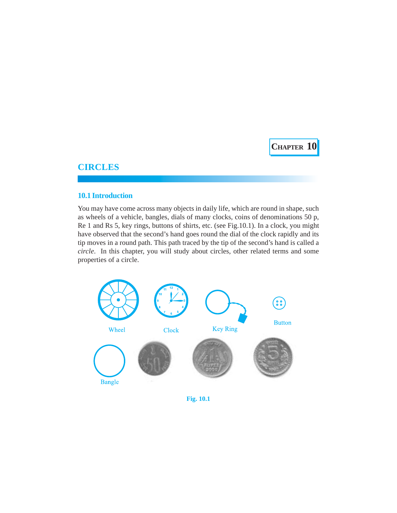

# **CIRCLES**

# **10.1 Introduction**

You may have come across many objects in daily life, which are round in shape, such as wheels of a vehicle, bangles, dials of many clocks, coins of denominations 50 p, Re 1 and Rs 5, key rings, buttons of shirts, etc. (see Fig.10.1). In a clock, you might have observed that the second's hand goes round the dial of the clock rapidly and its tip moves in a round path. This path traced by the tip of the second's hand is called a *circle*. In this chapter, you will study about circles, other related terms and some properties of a circle.



**Fig. 10.1**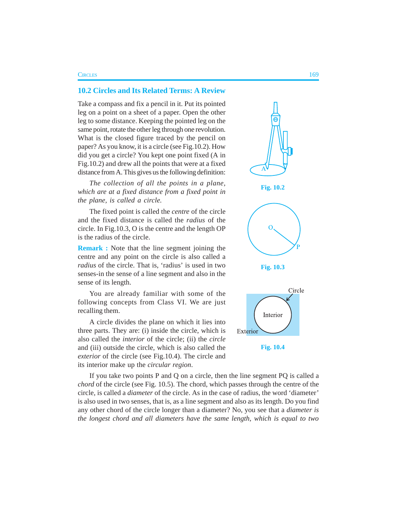#### **CIRCLES** 269 **CIRCLES**

### **10.2 Circles and Its Related Terms: A Review**

Take a compass and fix a pencil in it. Put its pointed leg on a point on a sheet of a paper. Open the other leg to some distance. Keeping the pointed leg on the same point, rotate the other leg through one revolution. What is the closed figure traced by the pencil on paper? As you know, it is a circle (see Fig.10.2). How did you get a circle? You kept one point fixed (A in Fig.10.2) and drew all the points that were at a fixed distance from A. This gives us the following definition:

*The collection of all the points in a plane, which are at a fixed distance from a fixed point in the plane, is called a circle.*

The fixed point is called the *centre* of the circle and the fixed distance is called the *radius* of the circle. In Fig.10.3, O is the centre and the length OP is the radius of the circle.

**Remark :** Note that the line segment joining the centre and any point on the circle is also called a *radius* of the circle. That is, 'radius' is used in two senses-in the sense of a line segment and also in the sense of its length.

You are already familiar with some of the following concepts from Class VI. We are just recalling them.

A circle divides the plane on which it lies into three parts. They are: (i) inside the circle, which is also called the *interior* of the circle; (ii) the *circle* and (iii) outside the circle, which is also called the *exterior* of the circle (see Fig.10.4). The circle and its interior make up the *circular region*.

**Fig. 10.2 Fig. 10.3** Circle Interior Exterior **Fig. 10.4**

If you take two points P and Q on a circle, then the line segment PQ is called a *chord* of the circle (see Fig. 10.5). The chord, which passes through the centre of the circle, is called a *diameter* of the circle. As in the case of radius, the word 'diameter' is also used in two senses, that is, as a line segment and also as its length. Do you find any other chord of the circle longer than a diameter? No, you see that a *diameter is the longest chord and all diameters have the same length, which is equal to two*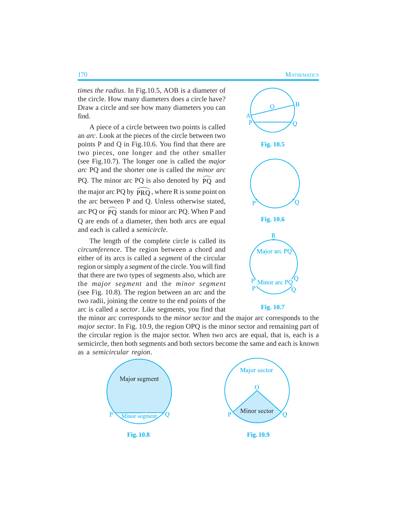170 MATHEMATICS

*times the radius*. In Fig.10.5, AOB is a diameter of the circle. How many diameters does a circle have? Draw a circle and see how many diameters you can find.

A piece of a circle between two points is called an *arc*. Look at the pieces of the circle between two points P and Q in Fig.10.6. You find that there are two pieces, one longer and the other smaller (see Fig.10.7). The longer one is called the *major arc* PQ and the shorter one is called the *minor arc* PQ. The minor arc PQ is also denoted by PO and the major arc PQ by  $\widehat{PRO}$ , where R is some point on the arc between P and Q. Unless otherwise stated, arc PQ or  $\widehat{PQ}$  stands for minor arc PQ. When P and Q are ends of a diameter, then both arcs are equal and each is called a *semicircle*.

The length of the complete circle is called its *circumference*. The region between a chord and either of its arcs is called a *segment* of the circular region or simply a *segment* of the circle. You will find that there are two types of segments also, which are the *major segment* and the *minor segment* (see Fig. 10.8). The region between an arc and the two radii, joining the centre to the end points of the arc is called a *sector*. Like segments, you find that



the minor arc corresponds to the *minor sector* and the major arc corresponds to the *major sector*. In Fig. 10.9, the region OPQ is the minor sector and remaining part of the circular region is the major sector. When two arcs are equal, that is, each is a semicircle, then both segments and both sectors become the same and each is known as a *semicircular region*.

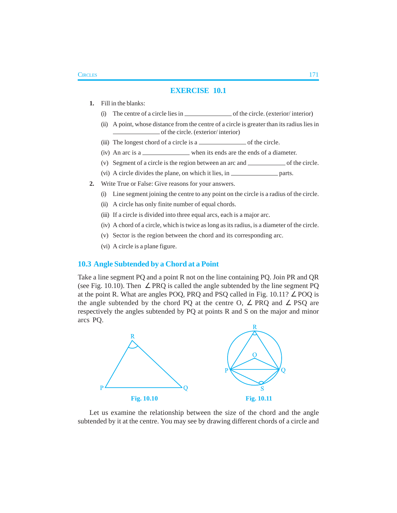#### **EXERCISE 10.1**

- **1.** Fill in the blanks:
	- (i) The centre of a circle lies in  $\_\_\_\_\_\_\$  of the circle. (exterior/ interior)
	- (ii) A point, whose distance from the centre of a circle is greater than its radius lies in of the circle. (exterior/ interior)
	- $(iii)$  The longest chord of a circle is a  $\qquad$  of the circle.
	- (iv) An arc is a \_\_\_\_\_\_\_\_\_\_\_\_\_ when its ends are the ends of a diameter.
	- (v) Segment of a circle is the region between an arc and  $\_\_\_\_\_\_\_\_\_\_\_\_\_\_\_\_\_\_\_\_\_\_\_\_\_\_\_\_\_\_\_\_\.\_$
	- $(vi)$  A circle divides the plane, on which it lies, in  $\frac{1}{1 v}$  parts.
- **2.** Write True or False: Give reasons for your answers.
	- (i) Line segment joining the centre to any point on the circle is a radius of the circle.
	- (ii) A circle has only finite number of equal chords.
	- (iii) If a circle is divided into three equal arcs, each is a major arc.
	- (iv) A chord of a circle, which is twice as long as its radius, is a diameter of the circle.
	- (v) Sector is the region between the chord and its corresponding arc.
	- (vi) A circle is a plane figure.

# **10.3 Angle Subtended by a Chord at a Point**

Take a line segment PQ and a point R not on the line containing PQ. Join PR and QR (see Fig. 10.10). Then  $\angle$  PRQ is called the angle subtended by the line segment PQ at the point R. What are angles POQ, PRQ and PSQ called in Fig.  $10.11$ ?  $\angle$  POQ is the angle subtended by the chord PQ at the centre  $O$ ,  $\angle$  PRQ and  $\angle$  PSQ are respectively the angles subtended by PQ at points R and S on the major and minor arcs PQ.



Let us examine the relationship between the size of the chord and the angle subtended by it at the centre. You may see by drawing different chords of a circle and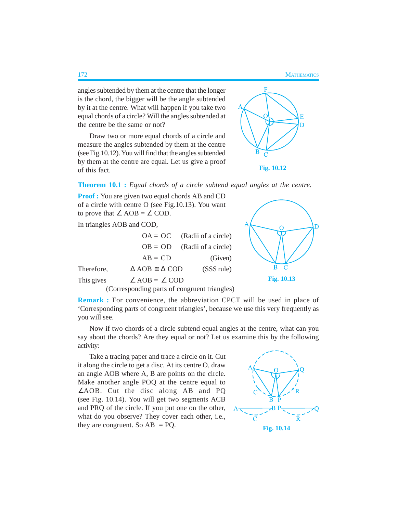angles subtended by them at the centre that the longer is the chord, the bigger will be the angle subtended by it at the centre. What will happen if you take two equal chords of a circle? Will the angles subtended at the centre be the same or not?

Draw two or more equal chords of a circle and measure the angles subtended by them at the centre (see Fig.10.12). You will find that the angles subtended by them at the centre are equal. Let us give a proof of this fact.



**Fig. 10.12**

**Theorem 10.1 :** *Equal chords of a circle subtend equal angles at the centre.*

**Proof :** You are given two equal chords AB and CD of a circle with centre O (see Fig.10.13). You want to prove that  $\angle$  AOB =  $\angle$  COD.

In triangles AOB and COD,

|            |                                              | $OA = OC$ (Radii of a circle) |
|------------|----------------------------------------------|-------------------------------|
|            |                                              | $OB = OD$ (Radii of a circle) |
|            | $AB = CD$                                    | (Given)                       |
| Therefore, | $\triangle AOB \cong \triangle COD$          | (SSS rule)                    |
| This gives | $\angle AOB = \angle COD$                    |                               |
|            | (Corresponding parts of congruent triangles) |                               |



**Remark :** For convenience, the abbreviation CPCT will be used in place of 'Corresponding parts of congruent triangles', because we use this very frequently as you will see.

Now if two chords of a circle subtend equal angles at the centre, what can you say about the chords? Are they equal or not? Let us examine this by the following activity:

Take a tracing paper and trace a circle on it. Cut it along the circle to get a disc. At its centre O, draw an angle AOB where A, B are points on the circle. Make another angle POQ at the centre equal to ∠AOB. Cut the disc along AB and PQ (see Fig. 10.14). You will get two segments ACB and PRQ of the circle. If you put one on the other, what do you observe? They cover each other, i.e., they are congruent. So  $AB = PQ$ .

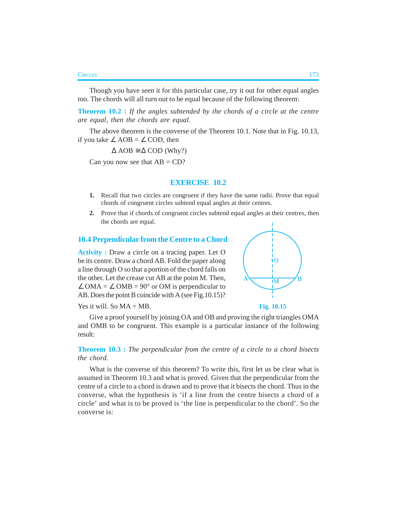Though you have seen it for this particular case, try it out for other equal angles too. The chords will all turn out to be equal because of the following theorem:

**Theorem 10.2 :** *If the angles subtended by the chords of a circle at the centre are equal, then the chords are equal.*

The above theorem is the converse of the Theorem 10.1. Note that in Fig. 10.13, if you take ∠ AOB = ∠ COD, then

 $\Delta$  AOB  $\cong \Delta$  COD (Why?)

Can you now see that  $AB = CD$ ?

# **EXERCISE 10.2**

- **1.** Recall that two circles are congruent if they have the same radii. Prove that equal chords of congruent circles subtend equal angles at their centres.
- **2.** Prove that if chords of congruent circles subtend equal angles at their centres, then the chords are equal.

# **10.4 Perpendicular from the Centre to a Chord**

**Activity :** Draw a circle on a tracing paper. Let O be its centre. Draw a chord AB. Fold the paper along a line through O so that a portion of the chord falls on the other. Let the crease cut AB at the point M. Then,  $\angle$  OMA =  $\angle$  OMB = 90° or OM is perpendicular to AB. Does the point B coincide with A (see Fig.10.15)?

Yes it will. So  $MA = MB$ .





Give a proof yourself by joining OA and OB and proving the right triangles OMA and OMB to be congruent. This example is a particular instance of the following result:

**Theorem 10.3 :** *The perpendicular from the centre of a circle to a chord bisects the chord.*

What is the converse of this theorem? To write this, first let us be clear what is assumed in Theorem 10.3 and what is proved. Given that the perpendicular from the centre of a circle to a chord is drawn and to prove that it bisects the chord. Thus in the converse, what the hypothesis is 'if a line from the centre bisects a chord of a circle' and what is to be proved is 'the line is perpendicular to the chord'. So the converse is: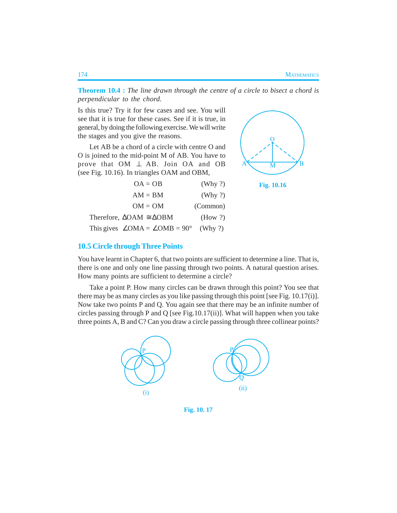**Theorem 10.4 :** *The line drawn through the centre of a circle to bisect a chord is perpendicular to the chord.*

Is this true? Try it for few cases and see. You will see that it is true for these cases. See if it is true, in general, by doing the following exercise. We will write the stages and you give the reasons.

Let AB be a chord of a circle with centre O and O is joined to the mid-point M of AB. You have to prove that OM ⊥ AB. Join OA and OB (see Fig. 10.16). In triangles OAM and OBM,

| $OA = OB$                                       | (Why ?)             |
|-------------------------------------------------|---------------------|
| $AM = BM$                                       | (Why ?)             |
| $OM = OM$                                       | (Common)            |
| Therefore, $\Delta OAM \cong \Delta OBM$        | (How ?)             |
| This gives $\angle OMA = \angle OMB = 90^\circ$ | (W <sub>hy</sub> ?) |





### **10.5 Circle through Three Points**

You have learnt in Chapter 6, that two points are sufficient to determine a line. That is, there is one and only one line passing through two points. A natural question arises. How many points are sufficient to determine a circle?

Take a point P. How many circles can be drawn through this point? You see that there may be as many circles as you like passing through this point [see Fig. 10.17(i)]. Now take two points P and Q. You again see that there may be an infinite number of circles passing through P and Q [see Fig.10.17(ii)]. What will happen when you take three points A, B and C? Can you draw a circle passing through three collinear points?



**Fig. 10. 17**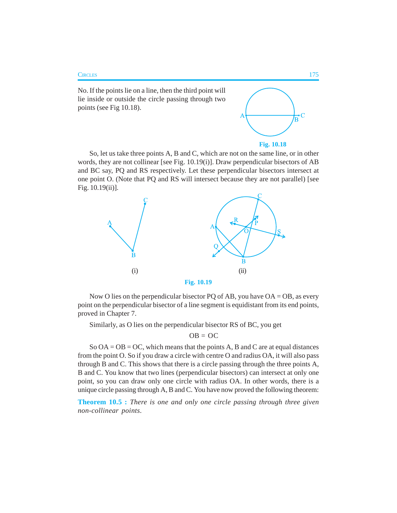No. If the points lie on a line, then the third point will lie inside or outside the circle passing through two points (see Fig 10.18).



**Fig. 10.18**

So, let us take three points A, B and C, which are not on the same line, or in other words, they are not collinear [see Fig. 10.19(i)]. Draw perpendicular bisectors of AB and BC say, PQ and RS respectively. Let these perpendicular bisectors intersect at one point O. (Note that PQ and RS will intersect because they are not parallel) [see Fig. 10.19(ii)].



Now O lies on the perpendicular bisector PQ of AB, you have  $OA = OB$ , as every point on the perpendicular bisector of a line segment is equidistant from its end points, proved in Chapter 7.

Similarly, as O lies on the perpendicular bisector RS of BC, you get

 $OB = OC$ 

So  $OA = OB = OC$ , which means that the points A, B and C are at equal distances from the point O. So if you draw a circle with centre O and radius OA, it will also pass through B and C. This shows that there is a circle passing through the three points A, B and C. You know that two lines (perpendicular bisectors) can intersect at only one point, so you can draw only one circle with radius OA. In other words, there is a unique circle passing through A, B and C. You have now proved the following theorem:

**Theorem 10.5 :** *There is one and only one circle passing through three given non-collinear points.*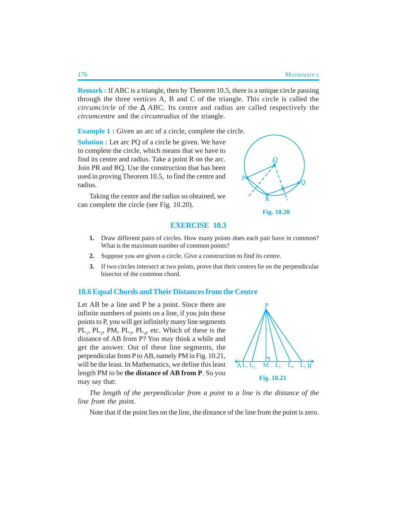**Remark :** If ABC is a triangle, then by Theorem 10.5, there is a unique circle passing through the three vertices A, B and C of the triangle. This circle is called the *circumcircle* of the ∆ ABC. Its centre and radius are called respectively the *circumcentre* and the *circumradius* of the triangle.

**Example 1 :** Given an arc of a circle, complete the circle.

**Solution :** Let arc PQ of a circle be given. We have to complete the circle, which means that we have to find its centre and radius. Take a point R on the arc. Join PR and RQ. Use the construction that has been used in proving Theorem 10.5, to find the centre and radius.

Taking the centre and the radius so obtained, we can complete the circle (see Fig. 10.20).





#### **EXERCISE 10.3**

- **1.** Draw different pairs of circles. How many points does each pair have in common? What is the maximum number of common points?
- **2.** Suppose you are given a circle. Give a construction to find its centre.
- **3.** If two circles intersect at two points, prove that their centres lie on the perpendicular bisector of the common chord.

### **10.6 Equal Chords and Their Distances from the Centre**

Let AB be a line and P be a point. Since there are infinite numbers of points on a line, if you join these points to P, you will get infinitely many line segments  $PL_1$ ,  $PL_2$ , PM,  $PL_3$ ,  $PL_4$ , etc. Which of these is the distance of AB from P? You may think a while and get the answer. Out of these line segments, the perpendicular from P to AB, namely PM in Fig. 10.21, will be the least. In Mathematics, we define this least length PM to be **the distance of AB from P**. So you may say that:



*The length of the perpendicular from a point to a line is the distance of the line from the point*.

Note that if the point lies on the line, the distance of the line from the point is zero.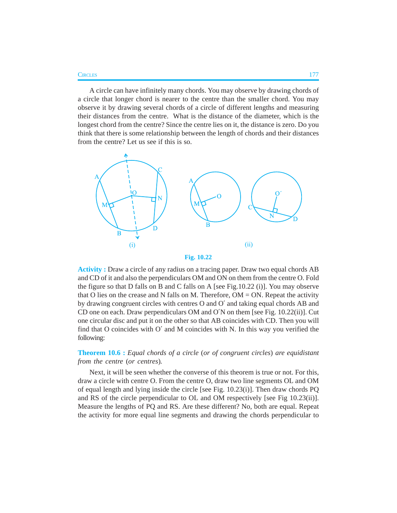#### **CIRCLES** 177

A circle can have infinitely many chords. You may observe by drawing chords of a circle that longer chord is nearer to the centre than the smaller chord. You may observe it by drawing several chords of a circle of different lengths and measuring their distances from the centre. What is the distance of the diameter, which is the longest chord from the centre? Since the centre lies on it, the distance is zero. Do you think that there is some relationship between the length of chords and their distances from the centre? Let us see if this is so.



**Activity :** Draw a circle of any radius on a tracing paper. Draw two equal chords AB and CD of it and also the perpendiculars OM and ON on them from the centre O. Fold the figure so that D falls on B and C falls on A [see Fig.10.22 (i)]. You may observe that O lies on the crease and N falls on M. Therefore,  $OM = ON$ . Repeat the activity by drawing congruent circles with centres O and O′ and taking equal chords AB and CD one on each. Draw perpendiculars OM and O′N on them [see Fig. 10.22(ii)]. Cut one circular disc and put it on the other so that AB coincides with CD. Then you will find that O coincides with O′ and M coincides with N. In this way you verified the following:

**Theorem 10.6 :** *Equal chords of a circle* (*or of congruent circles*) *are equidistant from the centre* (*or centres*)*.*

Next, it will be seen whether the converse of this theorem is true or not. For this, draw a circle with centre O. From the centre O, draw two line segments OL and OM of equal length and lying inside the circle [see Fig. 10.23(i)]. Then draw chords PQ and RS of the circle perpendicular to OL and OM respectively [see Fig 10.23(ii)]. Measure the lengths of PQ and RS. Are these different? No, both are equal. Repeat the activity for more equal line segments and drawing the chords perpendicular to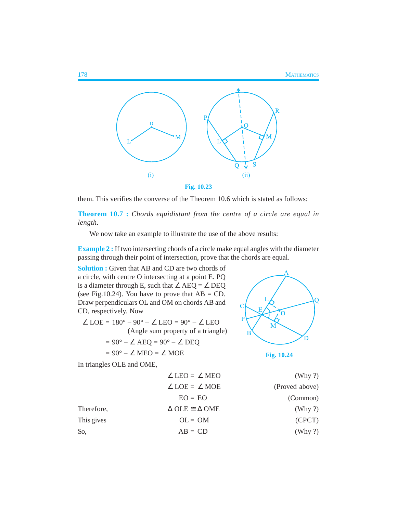

them. This verifies the converse of the Theorem 10.6 which is stated as follows:

**Theorem 10.7 :** *Chords equidistant from the centre of a circle are equal in length.*

We now take an example to illustrate the use of the above results:

**Example 2 :** If two intersecting chords of a circle make equal angles with the diameter passing through their point of intersection, prove that the chords are equal.

**Solution :** Given that AB and CD are two chords of a circle, with centre O intersecting at a point E. PQ is a diameter through E, such that ∠ AEQ = ∠ DEQ (see Fig.10.24). You have to prove that  $AB = CD$ . Draw perpendiculars OL and OM on chords AB and CD, respectively. Now

 $\angle$  LOE = 180° – 90° –  $\angle$  LEO = 90° –  $\angle$  LEO (Angle sum property of a triangle)  $= 90^{\circ} - \angle$  AEQ =  $90^{\circ} - \angle$  DEQ





**Fig. 10.24**

In triangles OLE and OME,

|            | $\angle$ LEO = $\angle$ MEO       | (Why ?)             |  |  |
|------------|-----------------------------------|---------------------|--|--|
|            | $\angle$ LOE = $\angle$ MOE       | (Proved above)      |  |  |
|            | $EO = EO$                         | (Common)            |  |  |
| Therefore, | $\Delta$ OLE $\cong$ $\Delta$ OME | (Why ?)             |  |  |
| This gives | $OL = OM$                         | (CPCT)              |  |  |
| So,        | $AB = CD$                         | (W <sub>hy</sub> ?) |  |  |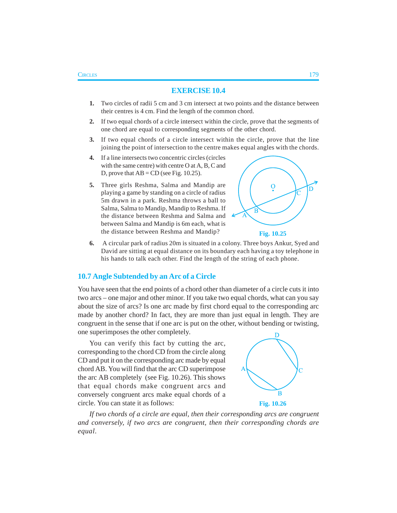#### **EXERCISE 10.4**

- **1.** Two circles of radii 5 cm and 3 cm intersect at two points and the distance between their centres is 4 cm. Find the length of the common chord.
- **2.** If two equal chords of a circle intersect within the circle, prove that the segments of one chord are equal to corresponding segments of the other chord.
- **3.** If two equal chords of a circle intersect within the circle, prove that the line joining the point of intersection to the centre makes equal angles with the chords.
- **4.** If a line intersects two concentric circles (circles with the same centre) with centre O at A, B, C and D, prove that  $AB = CD$  (see Fig. 10.25).
- **5.** Three girls Reshma, Salma and Mandip are playing a game by standing on a circle of radius 5m drawn in a park. Reshma throws a ball to Salma, Salma to Mandip, Mandip to Reshma. If the distance between Reshma and Salma and between Salma and Mandip is 6m each, what is the distance between Reshma and Mandip?



**6.** A circular park of radius 20m is situated in a colony. Three boys Ankur, Syed and David are sitting at equal distance on its boundary each having a toy telephone in his hands to talk each other. Find the length of the string of each phone.

### **10.7 Angle Subtended by an Arc of a Circle**

You have seen that the end points of a chord other than diameter of a circle cuts it into two arcs – one major and other minor. If you take two equal chords, what can you say about the size of arcs? Is one arc made by first chord equal to the corresponding arc made by another chord? In fact, they are more than just equal in length. They are congruent in the sense that if one arc is put on the other, without bending or twisting, one superimposes the other completely.

You can verify this fact by cutting the arc, corresponding to the chord CD from the circle along CD and put it on the corresponding arc made by equal chord AB. You will find that the arc CD superimpose the arc AB completely (see Fig. 10.26). This shows that equal chords make congruent arcs and conversely congruent arcs make equal chords of a circle. You can state it as follows:



**Fig. 10.26**

*If two chords of a circle are equal, then their corresponding arcs are congruent and conversely, if two arcs are congruent, then their corresponding chords are equal.*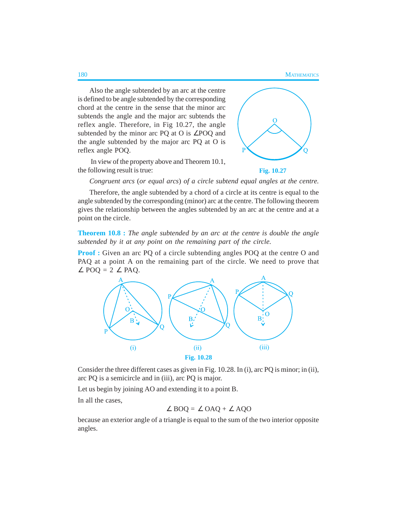Also the angle subtended by an arc at the centre is defined to be angle subtended by the corresponding chord at the centre in the sense that the minor arc subtends the angle and the major arc subtends the reflex angle. Therefore, in Fig 10.27, the angle subtended by the minor arc PQ at O is ∠POQ and the angle subtended by the major arc PQ at O is reflex angle POQ.



 In view of the property above and Theorem 10.1, the following result is true:

*Congruent arcs* (*or equal arcs*) *of a circle subtend equal angles at the centre.*

Therefore, the angle subtended by a chord of a circle at its centre is equal to the angle subtended by the corresponding (minor) arc at the centre. The following theorem gives the relationship between the angles subtended by an arc at the centre and at a point on the circle.

# **Theorem 10.8 :** *The angle subtended by an arc at the centre is double the angle subtended by it at any point on the remaining part of the circle.*

**Proof :** Given an arc PQ of a circle subtending angles POQ at the centre O and PAQ at a point A on the remaining part of the circle. We need to prove that  $\angle$  POQ = 2  $\angle$  PAQ.



Consider the three different cases as given in Fig. 10.28. In (i), arc PQ is minor; in (ii), arc PQ is a semicircle and in (iii), arc PQ is major.

Let us begin by joining AO and extending it to a point B.

In all the cases,

$$
\angle BOQ = \angle OAQ + \angle AQO
$$

because an exterior angle of a triangle is equal to the sum of the two interior opposite angles.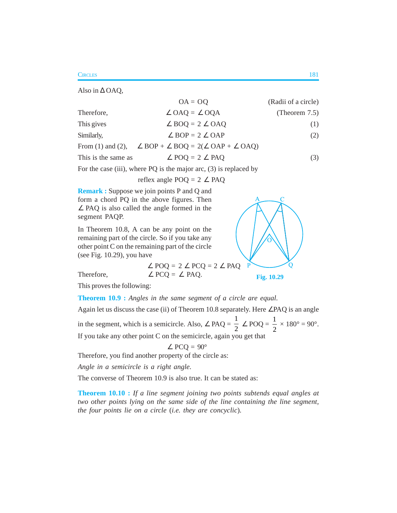#### **CIRCLES** 181

Also in ∆ OAQ,

|                     | $OA = OQ$                                                                | (Radii of a circle) |  |  |
|---------------------|--------------------------------------------------------------------------|---------------------|--|--|
| Therefore,          | $\angle$ OAQ = $\angle$ OQA                                              | (Theorem $7.5$ )    |  |  |
| This gives          | $\angle$ BOQ = 2 $\angle$ OAQ                                            | (1)                 |  |  |
| Similarly,          | $\angle BOP = 2 \angle OAP$                                              | (2)                 |  |  |
|                     | From (1) and (2), $\angle BOP + \angle BOQ = 2(\angle OAP + \angle OAQ)$ |                     |  |  |
| This is the same as | $\angle POQ = 2 \angle PAQ$                                              | (3)                 |  |  |

For the case (iii), where PQ is the major arc, (3) is replaced by

reflex angle  $POQ = 2 \angle PAQ$ 

**Remark :** Suppose we join points P and Q and form a chord PQ in the above figures. Then ∠ PAQ is also called the angle formed in the segment PAQP.

In Theorem 10.8, A can be any point on the remaining part of the circle. So if you take any other point C on the remaining part of the circle (see Fig. 10.29), you have

Therefore,  $\angle PCQ = \angle PAQ$ .

This proves the following:

**Theorem 10.9 :** *Angles in the same segment of a circle are equal.*

Again let us discuss the case (ii) of Theorem 10.8 separately. Here ∠PAQ is an angle

in the segment, which is a semicircle. Also,  $\angle$  PAQ = 1  $\frac{1}{2}$   $\angle$  POQ =  $\frac{1}{2}$ 2  $\times$  180 $^{\circ}$  = 90 $^{\circ}$ . If you take any other point C on the semicircle, again you get that

$$
\angle
$$
 PCQ = 90<sup>°</sup>

Therefore, you find another property of the circle as:

*Angle in a semicircle is a right angle.*

The converse of Theorem 10.9 is also true. It can be stated as:

**Theorem 10.10 :** *If a line segment joining two points subtends equal angles at two other points lying on the same side of the line containing the line segment, the four points lie on a circle* (*i.e. they are concyclic*)*.*

 $\angle$  POQ = 2  $\angle$  PCQ = 2  $\angle$  PAQ **Fig. 10.29**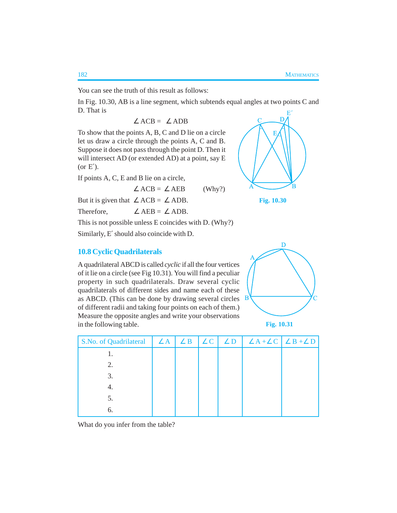You can see the truth of this result as follows:

In Fig. 10.30, AB is a line segment, which subtends equal angles at two points C and D. That is

 $\angle$  ACB =  $\angle$  ADB

To show that the points A, B, C and D lie on a circle let us draw a circle through the points A, C and B. Suppose it does not pass through the point D. Then it will intersect AD (or extended AD) at a point, say E  $(or E').$ 

If points A, C, E and B lie on a circle,

 $\angle ACB = \angle AEB$  (Why?) But it is given that  $\angle ACB = \angle ADB$ .

Therefore,  $\angle AEB = \angle ADB$ .

This is not possible unless E coincides with D. (Why?)

Similarly, E′ should also coincide with D.

# **10.8 Cyclic Quadrilaterals**

A quadrilateral ABCD is called *cyclic* if all the four vertices of it lie on a circle (see Fig 10.31). You will find a peculiar property in such quadrilaterals. Draw several cyclic quadrilaterals of different sides and name each of these as ABCD. (This can be done by drawing several circles  $\overline{B}$ ) of different radii and taking four points on each of them.) Measure the opposite angles and write your observations in the following table.



**Fig. 10.30**

**Fig. 10.31**

| S. No. of Quadrilateral $\angle A \angle B$ |  | $\vert \angle C \vert$ | $\angle D$ $\angle A + \angle C$ $\angle B + \angle D$ |  |
|---------------------------------------------|--|------------------------|--------------------------------------------------------|--|
|                                             |  |                        |                                                        |  |
|                                             |  |                        |                                                        |  |
|                                             |  |                        |                                                        |  |
|                                             |  |                        |                                                        |  |
| 5.                                          |  |                        |                                                        |  |
| b.                                          |  |                        |                                                        |  |

What do you infer from the table?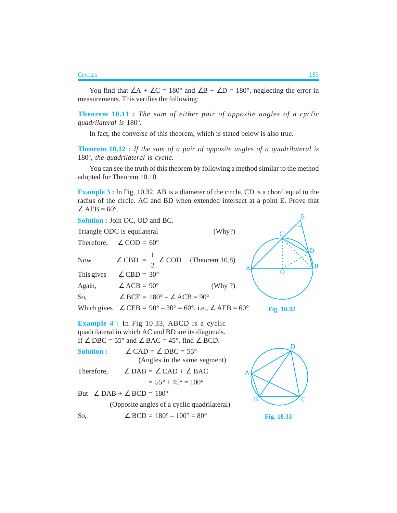You find that  $\angle A + \angle C = 180^\circ$  and  $\angle B + \angle D = 180^\circ$ , neglecting the error in measurements. This verifies the following:

**Theorem 10.11 :** *The sum of either pair of opposite angles of a cyclic quadrilateral is* 180º.

In fact, the converse of this theorem, which is stated below is also true.

**Theorem 10.12 :** *If the sum of a pair of opposite angles of a quadrilateral is* 180º, *the quadrilateral is cyclic.*

You can see the truth of this theorem by following a method similar to the method adopted for Theorem 10.10.

**Example 3 :** In Fig. 10.32, AB is a diameter of the circle, CD is a chord equal to the radius of the circle. AC and BD when extended intersect at a point E. Prove that  $\angle$  AEB = 60°.

Ē **Solution :** Join OC, OD and BC. Triangle ODC is equilateral (Why?) Therefore,  $\angle$  COD = 60° 1  $(Theorem 10.8)$ Now,  $\angle$  CBD = This gives  $\angle$  CBD = 30° Again,  $\angle ACB = 90^{\circ}$  (Why ?) So,  $\angle$  BCE = 180° –  $\angle$  ACB = 90° Which gives  $\angle$  CEB = 90° – 30° = 60°, i.e.,  $\angle$  AEB = 60° **Fig. 10.32 Example 4 :** In Fig 10.33, ABCD is a cyclic quadrilateral in which AC and BD are its diagonals. If  $\angle$  DBC = 55° and  $\angle$  BAC = 45°, find  $\angle$  BCD. D **Solution :**  $\angle$  CAD =  $\angle$  DBC = 55° (Angles in the same segment) Therefore,  $\angle$  DAB =  $\angle$  CAD +  $\angle$  BAC  $= 55^{\circ} + 45^{\circ} = 100^{\circ}$ But  $\angle$  DAB +  $\angle$  BCD = 180° (Opposite angles of a cyclic quadrilateral) So,  $\angle BCD = 180^{\circ} - 100^{\circ} = 80^{\circ}$ **Fig. 10.33**

n

B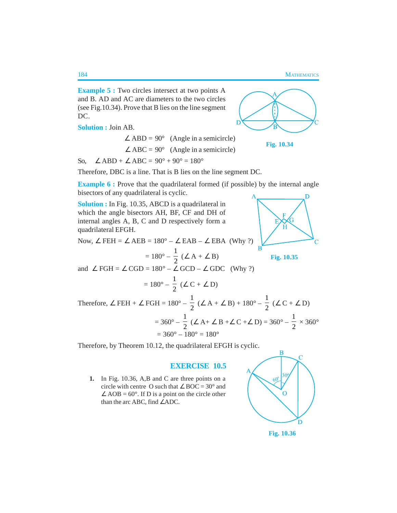**Example 5 :** Two circles intersect at two points A and B. AD and AC are diameters to the two circles (see Fig.10.34). Prove that B lies on the line segment DC.

**Solution :** Join AB.

$$
\angle
$$
 ABD = 90<sup>°</sup> (Angle in a semicircle)

 $\angle$  ABC = 90° (Angle in a semicircle)

So,  $\angle$  ABD +  $\angle$  ABC = 90° + 90° = 180°



**Example 6 :** Prove that the quadrilateral formed (if possible) by the internal angle bisectors of any quadrilateral is cyclic.

**Solution :** In Fig. 10.35, ABCD is a quadrilateral in which the angle bisectors AH, BF, CF and DH of internal angles A, B, C and D respectively form a quadrilateral EFGH.

Now, ∠ FEH = ∠ AEB =  $180^{\circ}$  – ∠ EAB – ∠ EBA (Why ?)  $= 180^{\circ} -$ 1  $\frac{1}{2}$  ( $\angle$  A +  $\angle$  B)

and  $\angle$  FGH =  $\angle$  CGD = 180° –  $\angle$  GCD –  $\angle$  GDC (Why ?)

$$
=180^{\circ}-\frac{1}{2}~(\angle C+\angle D)
$$

Therefore,  $\angle$  FEH +  $\angle$  FGH = 180 $^{\circ}$  – 1  $\frac{1}{2}$  (∠ A + ∠ B) + 180° – 1  $\frac{1}{2}$  ( $\angle$  C +  $\angle$  D)  $= 360^{\circ} -$ 1  $\frac{1}{2}$  (∠ A+ ∠ B + ∠ C + ∠ D) = 360° – 1  $\frac{1}{2} \times 360^{\circ}$  $= 360^{\circ} - 180^{\circ} = 180^{\circ}$ 

Therefore, by Theorem 10.12, the quadrilateral EFGH is cyclic.

#### **EXERCISE 10.5**

**1.** In Fig. 10.36, A,B and C are three points on a circle with centre O such that  $\angle$  BOC = 30° and  $\angle$  AOB = 60°. If D is a point on the circle other than the arc ABC, find ∠ADC.



**Fig. 10.36**



**Fig. 10.34**

**Fig. 10.35**

 $\overline{C}$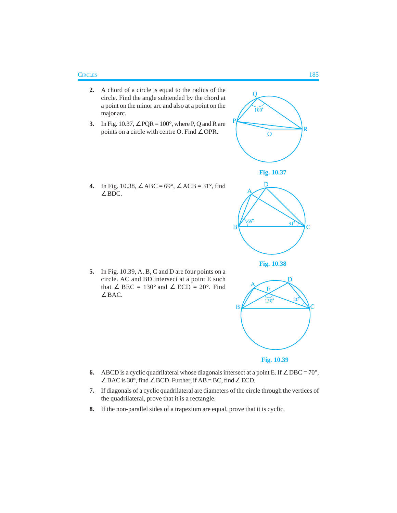- **2.** A chord of a circle is equal to the radius of the circle. Find the angle subtended by the chord at a point on the minor arc and also at a point on the major arc.
- **3.** In Fig. 10.37,  $\angle$  PQR = 100°, where P, Q and R are points on a circle with centre O. Find ∠ OPR.





D

**4.** In Fig. 10.38, ∠ ABC =  $69^{\circ}$ , ∠ ACB =  $31^{\circ}$ , find ∠ BDC.

**5.** In Fig. 10.39, A, B, C and D are four points on a circle. AC and BD intersect at a point E such that ∠ BEC = 130° and ∠ ECD = 20°. Find ∠ BAC.



**Fig. 10.38**

 $31<sup>6</sup>$ 



- **6.** ABCD is a cyclic quadrilateral whose diagonals intersect at a point E. If ∠ DBC = 70°, ∠ BAC is 30°, find ∠ BCD. Further, if AB = BC, find ∠ ECD.
- **7.** If diagonals of a cyclic quadrilateral are diameters of the circle through the vertices of the quadrilateral, prove that it is a rectangle.
- **8.** If the non-parallel sides of a trapezium are equal, prove that it is cyclic.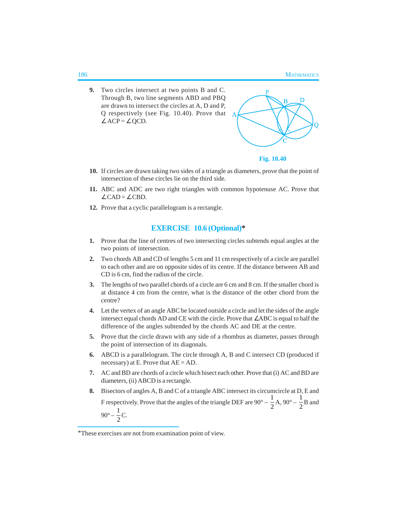**9.** Two circles intersect at two points B and C. Through B, two line segments ABD and PBQ are drawn to intersect the circles at A, D and P, Q respectively (see Fig. 10.40). Prove that  $\angle$  ACP =  $\angle$  QCD.





- **10.** If circles are drawn taking two sides of a triangle as diameters, prove that the point of intersection of these circles lie on the third side.
- **11.** ABC and ADC are two right triangles with common hypotenuse AC. Prove that ∠ CAD = ∠ CBD.
- **12.** Prove that a cyclic parallelogram is a rectangle.

# **EXERCISE 10.6 (Optional)\***

- **1.** Prove that the line of centres of two intersecting circles subtends equal angles at the two points of intersection.
- **2.** Two chords AB and CD of lengths 5 cm and 11 cm respectively of a circle are parallel to each other and are on opposite sides of its centre. If the distance between AB and CD is 6 cm, find the radius of the circle.
- **3.** The lengths of two parallel chords of a circle are 6 cm and 8 cm. If the smaller chord is at distance 4 cm from the centre, what is the distance of the other chord from the centre?
- **4.** Let the vertex of an angle ABC be located outside a circle and let the sides of the angle intersect equal chords AD and CE with the circle. Prove that ∠ABC is equal to half the difference of the angles subtended by the chords AC and DE at the centre.
- **5.** Prove that the circle drawn with any side of a rhombus as diameter, passes through the point of intersection of its diagonals.
- **6.** ABCD is a parallelogram. The circle through A, B and C intersect CD (produced if necessary) at E. Prove that  $AE = AD$ .
- **7.** AC and BD are chords of a circle which bisect each other. Prove that (i) AC and BD are diameters, (ii) ABCD is a rectangle.
- **8.** Bisectors of angles A, B and C of a triangle ABC intersect its circumcircle at D, E and F respectively. Prove that the angles of the triangle DEF are  $90^{\circ} - \frac{1}{2}A$ ,  $90^{\circ} - \frac{1}{2}A$  $\frac{1}{2}$ B and  $90^{\circ} - \frac{1}{2}$  $\frac{1}{2}$ C.

<sup>\*</sup>These exercises are not from examination point of view.